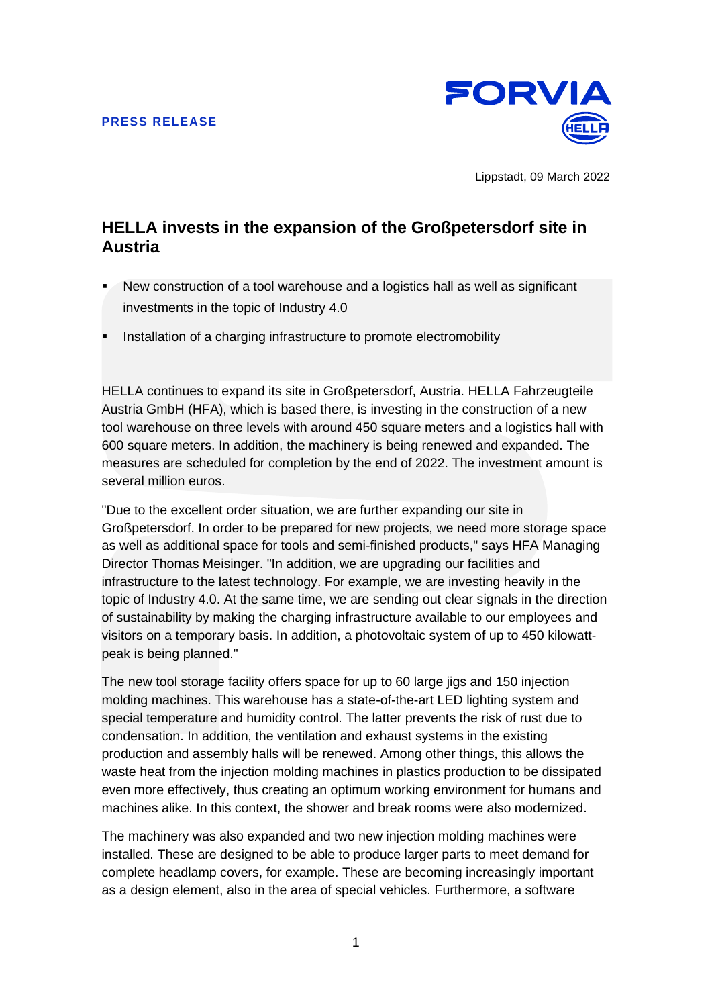

Lippstadt, 09 March 2022

# **HELLA invests in the expansion of the Großpetersdorf site in Austria**

- New construction of a tool warehouse and a logistics hall as well as significant investments in the topic of Industry 4.0
- Installation of a charging infrastructure to promote electromobility

HELLA continues to expand its site in Großpetersdorf, Austria. HELLA Fahrzeugteile Austria GmbH (HFA), which is based there, is investing in the construction of a new tool warehouse on three levels with around 450 square meters and a logistics hall with 600 square meters. In addition, the machinery is being renewed and expanded. The measures are scheduled for completion by the end of 2022. The investment amount is several million euros.

"Due to the excellent order situation, we are further expanding our site in Großpetersdorf. In order to be prepared for new projects, we need more storage space as well as additional space for tools and semi-finished products," says HFA Managing Director Thomas Meisinger. "In addition, we are upgrading our facilities and infrastructure to the latest technology. For example, we are investing heavily in the topic of Industry 4.0. At the same time, we are sending out clear signals in the direction of sustainability by making the charging infrastructure available to our employees and visitors on a temporary basis. In addition, a photovoltaic system of up to 450 kilowattpeak is being planned."

The new tool storage facility offers space for up to 60 large jigs and 150 injection molding machines. This warehouse has a state-of-the-art LED lighting system and special temperature and humidity control. The latter prevents the risk of rust due to condensation. In addition, the ventilation and exhaust systems in the existing production and assembly halls will be renewed. Among other things, this allows the waste heat from the injection molding machines in plastics production to be dissipated even more effectively, thus creating an optimum working environment for humans and machines alike. In this context, the shower and break rooms were also modernized.

The machinery was also expanded and two new injection molding machines were installed. These are designed to be able to produce larger parts to meet demand for complete headlamp covers, for example. These are becoming increasingly important as a design element, also in the area of special vehicles. Furthermore, a software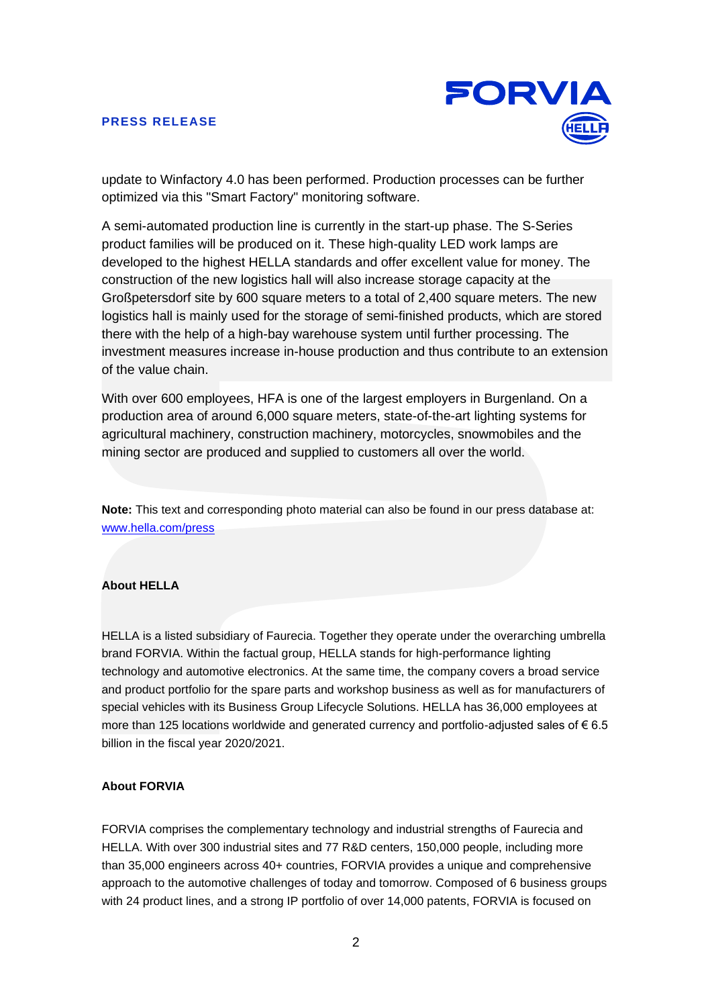

update to Winfactory 4.0 has been performed. Production processes can be further optimized via this "Smart Factory" monitoring software.

A semi-automated production line is currently in the start-up phase. The S-Series product families will be produced on it. These high-quality LED work lamps are developed to the highest HELLA standards and offer excellent value for money. The construction of the new logistics hall will also increase storage capacity at the Großpetersdorf site by 600 square meters to a total of 2,400 square meters. The new logistics hall is mainly used for the storage of semi-finished products, which are stored there with the help of a high-bay warehouse system until further processing. The investment measures increase in-house production and thus contribute to an extension of the value chain.

With over 600 employees, HFA is one of the largest employers in Burgenland. On a production area of around 6,000 square meters, state-of-the-art lighting systems for agricultural machinery, construction machinery, motorcycles, snowmobiles and the mining sector are produced and supplied to customers all over the world.

**Note:** This text and corresponding photo material can also be found in our press database at: www.hella.com/press

## **About HELLA**

HELLA is a listed subsidiary of Faurecia. Together they operate under the overarching umbrella brand FORVIA. Within the factual group, HELLA stands for high-performance lighting technology and automotive electronics. At the same time, the company covers a broad service and product portfolio for the spare parts and workshop business as well as for manufacturers of special vehicles with its Business Group Lifecycle Solutions. HELLA has 36,000 employees at more than 125 locations worldwide and generated currency and portfolio-adjusted sales of € 6.5 billion in the fiscal year 2020/2021.

#### **About FORVIA**

FORVIA comprises the complementary technology and industrial strengths of Faurecia and HELLA. With over 300 industrial sites and 77 R&D centers, 150,000 people, including more than 35,000 engineers across 40+ countries, FORVIA provides a unique and comprehensive approach to the automotive challenges of today and tomorrow. Composed of 6 business groups with 24 product lines, and a strong IP portfolio of over 14,000 patents, FORVIA is focused on